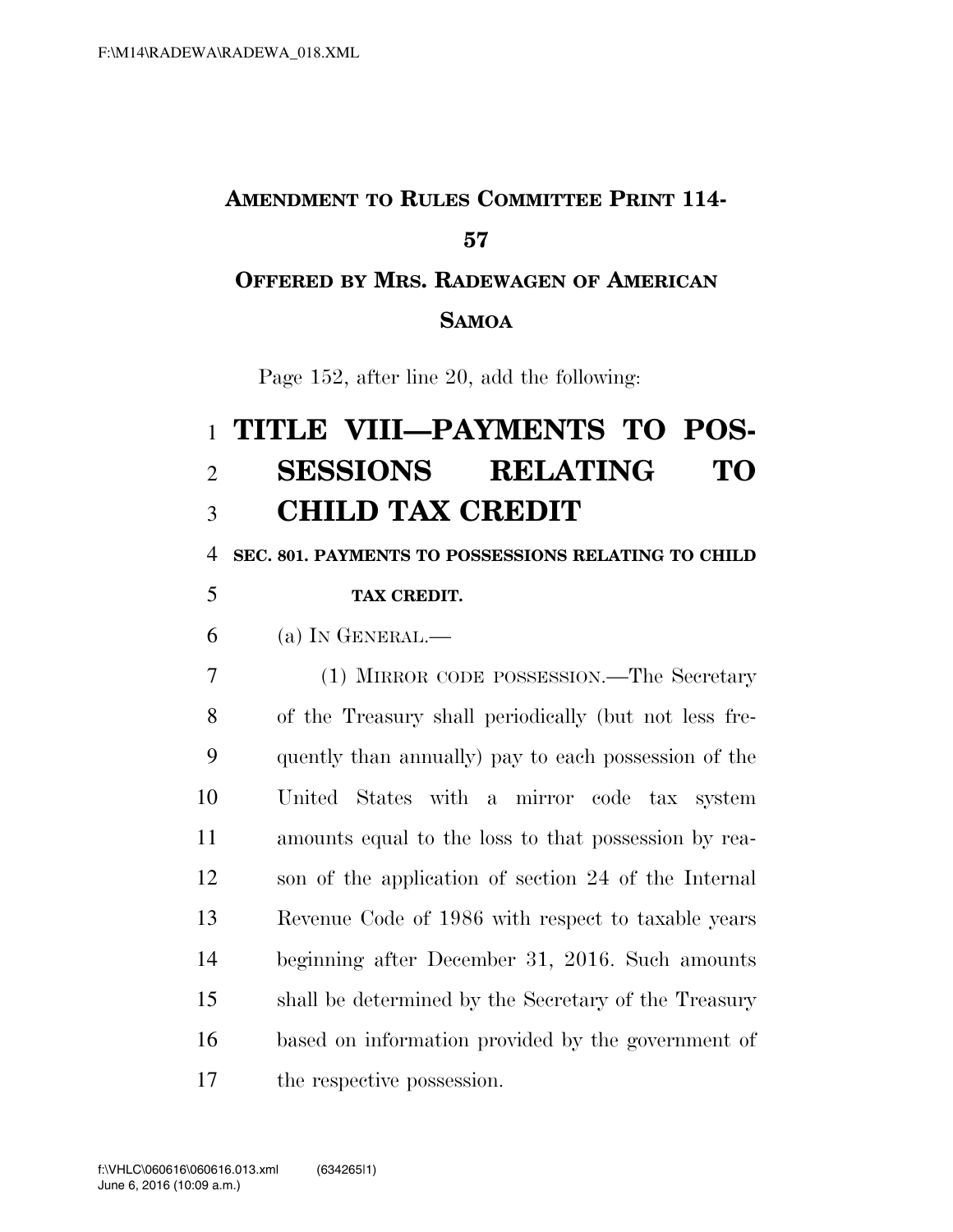# **AMENDMENT TO RULES COMMITTEE PRINT 114- OFFERED BY MRS. RADEWAGEN OF AMERICAN**

#### **SAMOA**

Page 152, after line 20, add the following:

# **TITLE VIII—PAYMENTS TO POS- SESSIONS RELATING TO CHILD TAX CREDIT**

**SEC. 801. PAYMENTS TO POSSESSIONS RELATING TO CHILD** 

#### **TAX CREDIT.**

(a) In GENERAL.—

 (1) MIRROR CODE POSSESSION.—The Secretary of the Treasury shall periodically (but not less fre- quently than annually) pay to each possession of the United States with a mirror code tax system amounts equal to the loss to that possession by rea- son of the application of section 24 of the Internal Revenue Code of 1986 with respect to taxable years beginning after December 31, 2016. Such amounts shall be determined by the Secretary of the Treasury based on information provided by the government of the respective possession.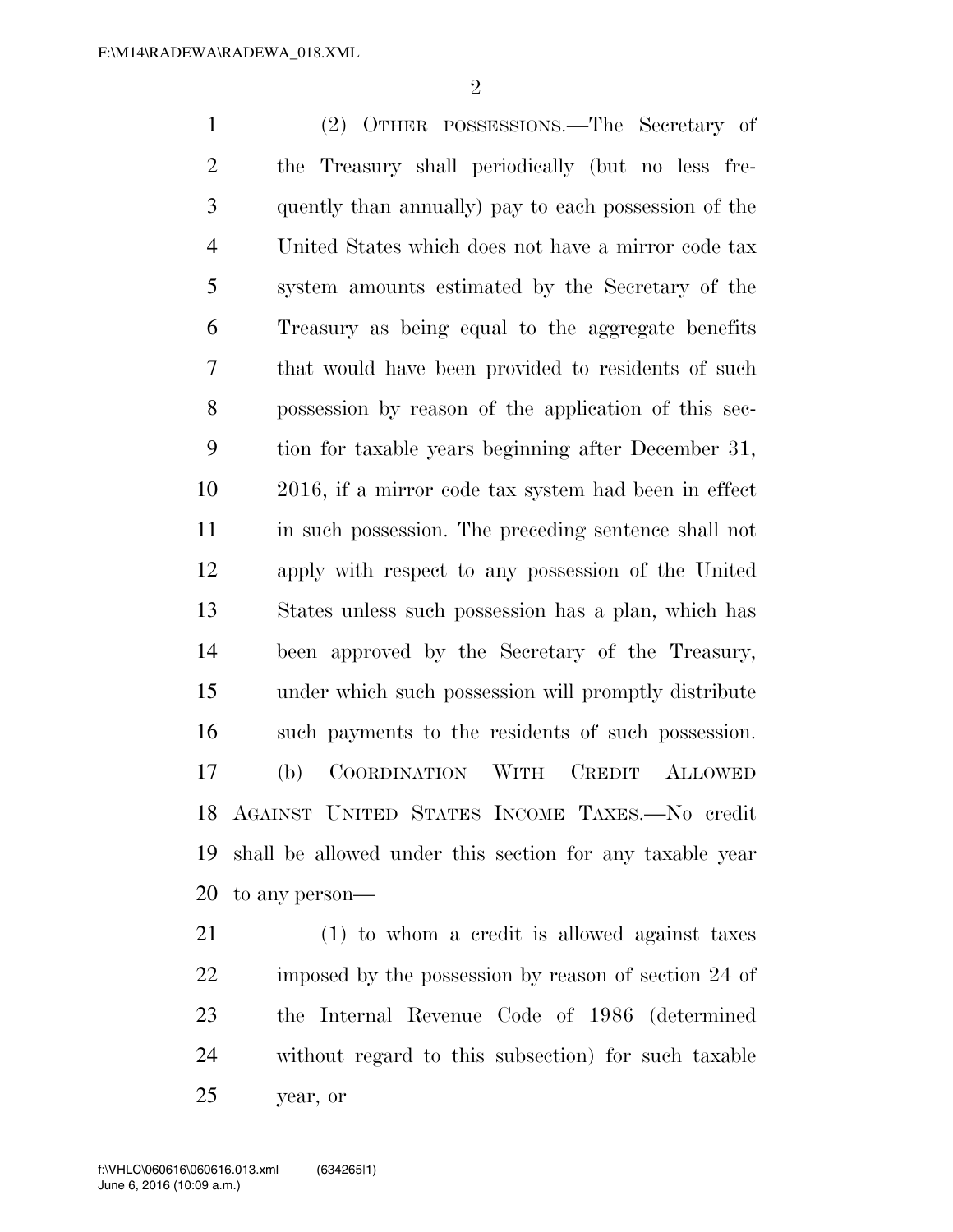$\mathfrak{D}$ 

 (2) OTHER POSSESSIONS.—The Secretary of the Treasury shall periodically (but no less fre- quently than annually) pay to each possession of the United States which does not have a mirror code tax system amounts estimated by the Secretary of the Treasury as being equal to the aggregate benefits that would have been provided to residents of such possession by reason of the application of this sec- tion for taxable years beginning after December 31, 2016, if a mirror code tax system had been in effect in such possession. The preceding sentence shall not apply with respect to any possession of the United States unless such possession has a plan, which has been approved by the Secretary of the Treasury, under which such possession will promptly distribute such payments to the residents of such possession. (b) COORDINATION WITH CREDIT ALLOWED AGAINST UNITED STATES INCOME TAXES.—No credit shall be allowed under this section for any taxable year to any person—

 (1) to whom a credit is allowed against taxes 22 imposed by the possession by reason of section 24 of the Internal Revenue Code of 1986 (determined without regard to this subsection) for such taxable year, or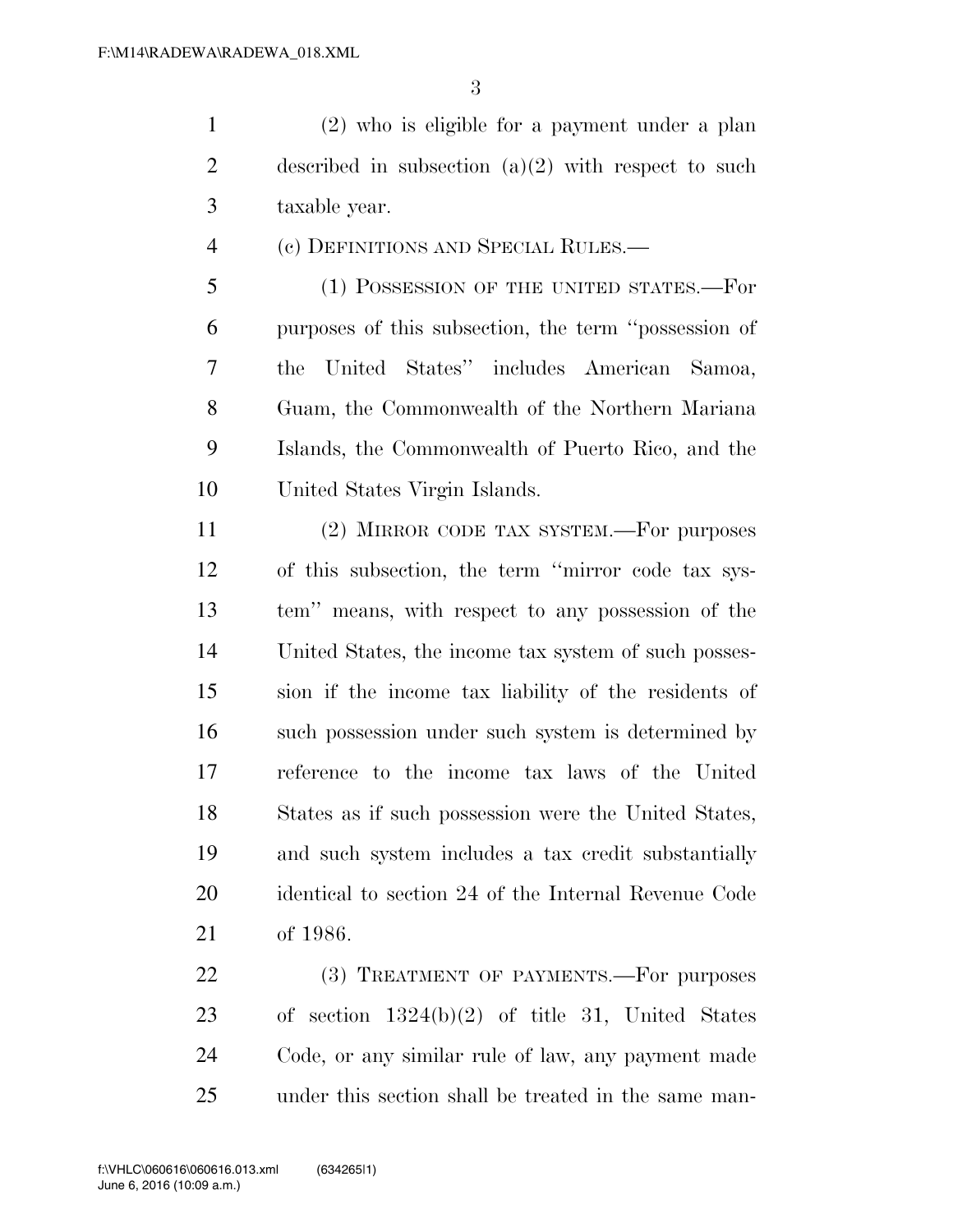(2) who is eligible for a payment under a plan described in subsection (a)(2) with respect to such taxable year.

(c) DEFINITIONS AND SPECIAL RULES.—

 (1) POSSESSION OF THE UNITED STATES.—For purposes of this subsection, the term ''possession of the United States'' includes American Samoa, Guam, the Commonwealth of the Northern Mariana Islands, the Commonwealth of Puerto Rico, and the United States Virgin Islands.

 (2) MIRROR CODE TAX SYSTEM.—For purposes of this subsection, the term ''mirror code tax sys- tem'' means, with respect to any possession of the United States, the income tax system of such posses- sion if the income tax liability of the residents of 16 such possession under such system is determined by reference to the income tax laws of the United States as if such possession were the United States, and such system includes a tax credit substantially identical to section 24 of the Internal Revenue Code of 1986.

22 (3) TREATMENT OF PAYMENTS. For purposes of section 1324(b)(2) of title 31, United States Code, or any similar rule of law, any payment made under this section shall be treated in the same man-